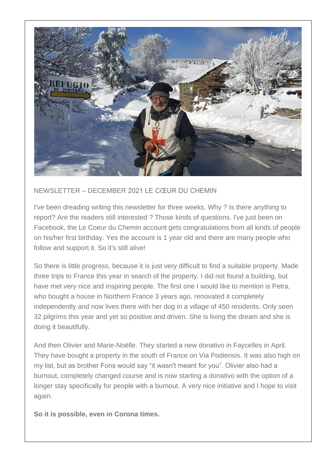

## NEWSLETTER – DECEMBER 2021 LE CŒUR DU CHEMIN

I've been dreading writing this newsletter for three weeks. Why ? Is there anything to report? Are the readers still interested ? Those kinds of questions. I've just been on Facebook, the Le Coeur du Chemin account gets congratulations from all kinds of people on his/her first birthday. Yes the account is 1 year old and there are many people who follow and support it. So it's still alive!

So there is little progress, because it is just very difficult to find a suitable property. Made three trips to France this year in search of the property. I did not found a building, but have met very nice and inspiring people. The first one I would like to mention is Petra, who bought a house in Northern France 3 years ago, renovated it completely independently and now lives there with her dog in a village of 450 residents. Only seen 32 pilgrims this year and yet so positive and driven. She is living the dream and she is doing it beautifully.

And then Olivier and Marie-Noëlle. They started a new donativo in Faycelles in April. They have bought a property in the south of France on Via Podiensis. It was also high on my list, but as brother Fons would say "it wasn't meant for you". Olivier also had a burnout, completely changed course and is now starting a donativo with the option of a longer stay specifically for people with a burnout. A very nice initiative and I hope to visit again.

**So it is possible, even in Corona times.**